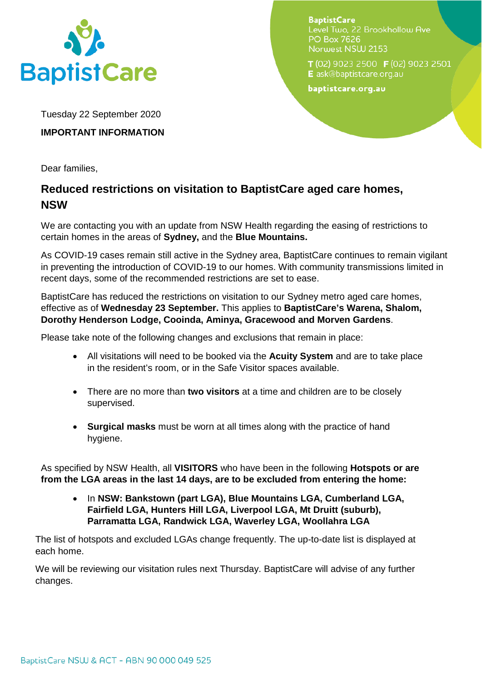

**BaptistCare** Level Two, 22 Brookhollow Ave **PO Box 7626** Norwest NSW 2153

 $T(02)$  9023 2500 **F** (02) 9023 2501 E ask@baptistcare.org.au

baptistcare.org.au

Tuesday 22 September 2020

## **IMPORTANT INFORMATION**

Dear families,

## **Reduced restrictions on visitation to BaptistCare aged care homes, NSW**

We are contacting you with an update from NSW Health regarding the easing of restrictions to certain homes in the areas of **Sydney,** and the **Blue Mountains.**

As COVID-19 cases remain still active in the Sydney area, BaptistCare continues to remain vigilant in preventing the introduction of COVID-19 to our homes. With community transmissions limited in recent days, some of the recommended restrictions are set to ease.

BaptistCare has reduced the restrictions on visitation to our Sydney metro aged care homes, effective as of **Wednesday 23 September.** This applies to **BaptistCare's Warena, Shalom, Dorothy Henderson Lodge, Cooinda, Aminya, Gracewood and Morven Gardens**.

Please take note of the following changes and exclusions that remain in place:

- All visitations will need to be booked via the **Acuity System** and are to take place in the resident's room, or in the Safe Visitor spaces available.
- There are no more than **two visitors** at a time and children are to be closely supervised.
- **Surgical masks** must be worn at all times along with the practice of hand hygiene.

As specified by NSW Health, all **VISITORS** who have been in the following **Hotspots or are from the LGA areas in the last 14 days, are to be excluded from entering the home:**

• In **NSW: Bankstown (part LGA), Blue Mountains LGA, Cumberland LGA, Fairfield LGA, Hunters Hill LGA, Liverpool LGA, Mt Druitt (suburb), Parramatta LGA, Randwick LGA, Waverley LGA, Woollahra LGA**

The list of hotspots and excluded LGAs change frequently. The up-to-date list is displayed at each home.

We will be reviewing our visitation rules next Thursday. BaptistCare will advise of any further changes.